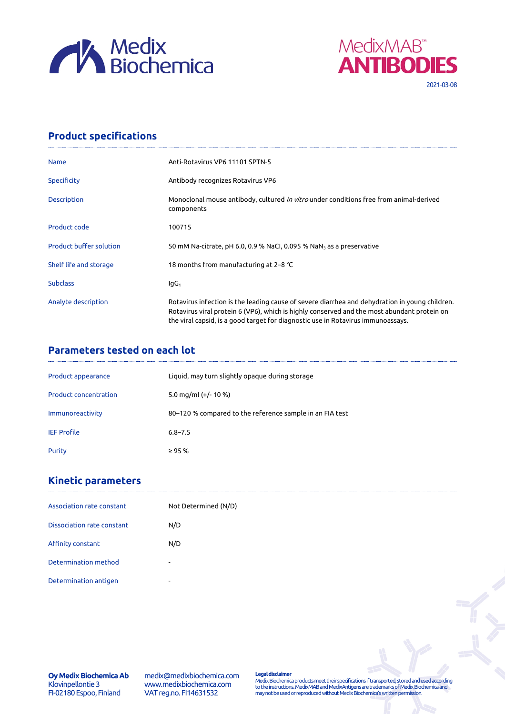



## **Product specifications**

| <b>Name</b>                    | Anti-Rotavirus VP6 11101 SPTN-5                                                                                                                                                                                                                                                   |  |
|--------------------------------|-----------------------------------------------------------------------------------------------------------------------------------------------------------------------------------------------------------------------------------------------------------------------------------|--|
| <b>Specificity</b>             | Antibody recognizes Rotavirus VP6                                                                                                                                                                                                                                                 |  |
| <b>Description</b>             | Monoclonal mouse antibody, cultured <i>in vitro</i> under conditions free from animal-derived<br>components                                                                                                                                                                       |  |
| Product code                   | 100715                                                                                                                                                                                                                                                                            |  |
| <b>Product buffer solution</b> | 50 mM Na-citrate, pH 6.0, 0.9 % NaCl, 0.095 % NaN <sub>3</sub> as a preservative                                                                                                                                                                                                  |  |
| Shelf life and storage         | 18 months from manufacturing at 2–8 °C                                                                                                                                                                                                                                            |  |
| <b>Subclass</b>                | lgG <sub>1</sub>                                                                                                                                                                                                                                                                  |  |
| Analyte description            | Rotavirus infection is the leading cause of severe diarrhea and dehydration in young children.<br>Rotavirus viral protein 6 (VP6), which is highly conserved and the most abundant protein on<br>the viral capsid, is a good target for diagnostic use in Rotavirus immunoassays. |  |

## **Parameters tested on each lot**

| Product appearance           | Liquid, may turn slightly opaque during storage          |
|------------------------------|----------------------------------------------------------|
| <b>Product concentration</b> | 5.0 mg/ml $(+/- 10 %$                                    |
| Immunoreactivity             | 80–120 % compared to the reference sample in an FIA test |
| <b>IEF Profile</b>           | $6.8 - 7.5$                                              |
| Purity                       | $\geq 95%$                                               |

## **Kinetic parameters**

| Association rate constant  | Not Determined (N/D) |
|----------------------------|----------------------|
| Dissociation rate constant | N/D                  |
| Affinity constant          | N/D                  |
| Determination method       | ۰                    |
| Determination antigen      | ۰                    |

**Oy Medix Biochemica Ab** Klovinpellontie 3 FI-02180 Espoo, Finland

medix@medixbiochemica.com www.medixbiochemica.com VAT reg.no. FI14631532

**Legal disclaimer** Medix Biochemica products meet their specifications if transported, stored and used according to the instructions. MedixMAB and MedixAntigens are trademarks of Medix Biochemica and may not be used or reproduced without Medix Biochemica's written permission.